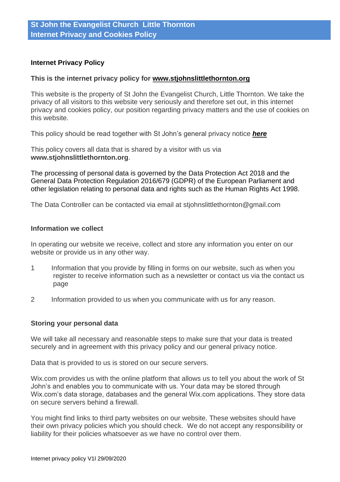# **Internet Privacy Policy**

### **This is the internet privacy policy for [www.stjohnslittlethornton.org](http://www.stjohnslittlethornton.org/)**

This website is the property of St John the Evangelist Church, Little Thornton. We take the privacy of all visitors to this website very seriously and therefore set out, in this internet privacy and cookies policy, our position regarding privacy matters and the use of cookies on this website.

This policy should be read together with St John's general privacy notice *[here](https://docs.wixstatic.com/ugd/c920c3_ed8e41bfa1de407894e0064a9e55f494.pdf)*

This policy covers all data that is shared by a visitor with us via **www.stjohnslittlethornton.org**.

The processing of personal data is governed by the Data Protection Act 2018 and the General Data Protection Regulation 2016/679 (GDPR) of the European Parliament and other legislation relating to personal data and rights such as the Human Rights Act 1998.

The Data Controller can be contacted via email at stjohnslittlethornton@gmail.com

#### **Information we collect**

In operating our website we receive, collect and store any information you enter on our website or provide us in any other way.

- 1 Information that you provide by filling in forms on our website, such as when you register to receive information such as a newsletter or contact us via the contact us page
- 2 Information provided to us when you communicate with us for any reason.

#### **Storing your personal data**

We will take all necessary and reasonable steps to make sure that your data is treated securely and in agreement with this privacy policy and our general privacy notice.

Data that is provided to us is stored on our secure servers.

Wix.com provides us with the online platform that allows us to tell you about the work of St John's and enables you to communicate with us. Your data may be stored through Wix.com's data storage, databases and the general Wix.com applications. They store data on secure servers behind a firewall.

You might find links to third party websites on our website. These websites should have their own privacy policies which you should check. We do not accept any responsibility or liability for their policies whatsoever as we have no control over them.